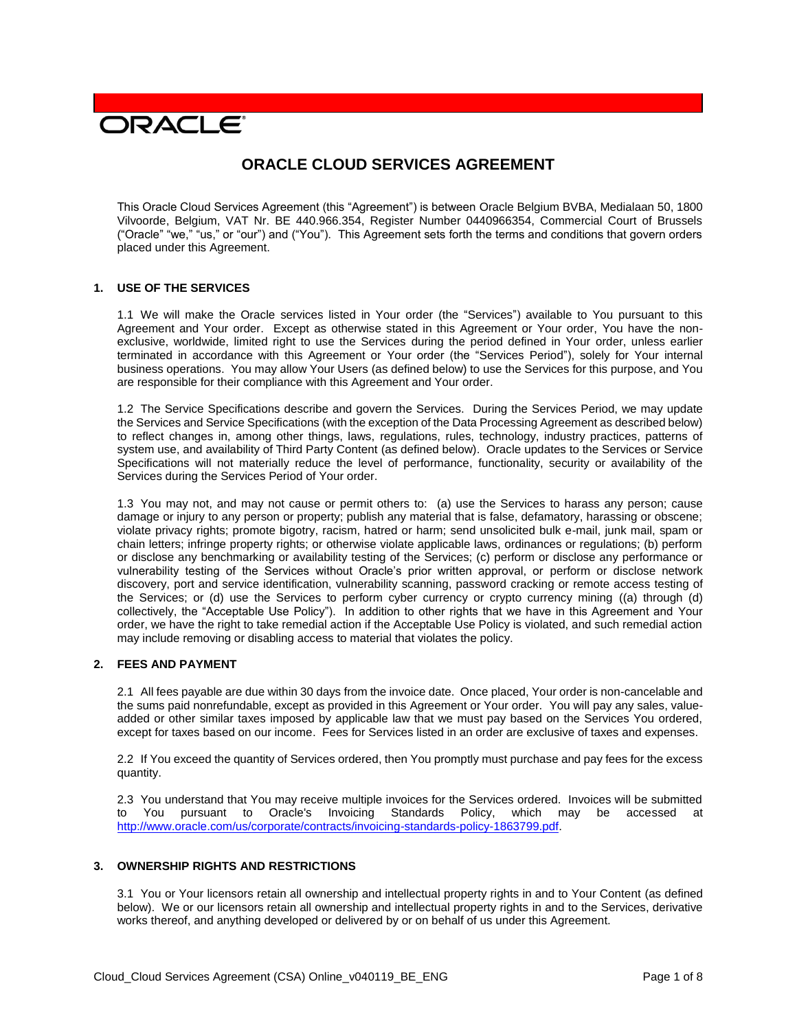# **DRACLE**

# **ORACLE CLOUD SERVICES AGREEMENT**

This Oracle Cloud Services Agreement (this "Agreement") is between Oracle Belgium BVBA, Medialaan 50, 1800 Vilvoorde, Belgium, VAT Nr. BE 440.966.354, Register Number 0440966354, Commercial Court of Brussels ("Oracle" "we," "us," or "our") and ("You"). This Agreement sets forth the terms and conditions that govern orders placed under this Agreement.

# **1. USE OF THE SERVICES**

1.1 We will make the Oracle services listed in Your order (the "Services") available to You pursuant to this Agreement and Your order. Except as otherwise stated in this Agreement or Your order, You have the nonexclusive, worldwide, limited right to use the Services during the period defined in Your order, unless earlier terminated in accordance with this Agreement or Your order (the "Services Period"), solely for Your internal business operations. You may allow Your Users (as defined below) to use the Services for this purpose, and You are responsible for their compliance with this Agreement and Your order.

1.2 The Service Specifications describe and govern the Services. During the Services Period, we may update the Services and Service Specifications (with the exception of the Data Processing Agreement as described below) to reflect changes in, among other things, laws, regulations, rules, technology, industry practices, patterns of system use, and availability of Third Party Content (as defined below). Oracle updates to the Services or Service Specifications will not materially reduce the level of performance, functionality, security or availability of the Services during the Services Period of Your order.

1.3 You may not, and may not cause or permit others to: (a) use the Services to harass any person; cause damage or injury to any person or property; publish any material that is false, defamatory, harassing or obscene; violate privacy rights; promote bigotry, racism, hatred or harm; send unsolicited bulk e-mail, junk mail, spam or chain letters; infringe property rights; or otherwise violate applicable laws, ordinances or regulations; (b) perform or disclose any benchmarking or availability testing of the Services; (c) perform or disclose any performance or vulnerability testing of the Services without Oracle's prior written approval, or perform or disclose network discovery, port and service identification, vulnerability scanning, password cracking or remote access testing of the Services; or (d) use the Services to perform cyber currency or crypto currency mining ((a) through (d) collectively, the "Acceptable Use Policy"). In addition to other rights that we have in this Agreement and Your order, we have the right to take remedial action if the Acceptable Use Policy is violated, and such remedial action may include removing or disabling access to material that violates the policy.

# **2. FEES AND PAYMENT**

2.1 All fees payable are due within 30 days from the invoice date. Once placed, Your order is non-cancelable and the sums paid nonrefundable, except as provided in this Agreement or Your order. You will pay any sales, valueadded or other similar taxes imposed by applicable law that we must pay based on the Services You ordered, except for taxes based on our income. Fees for Services listed in an order are exclusive of taxes and expenses.

2.2 If You exceed the quantity of Services ordered, then You promptly must purchase and pay fees for the excess quantity.

2.3 You understand that You may receive multiple invoices for the Services ordered. Invoices will be submitted to You pursuant to Oracle's Invoicing Standards Policy, which may be accessed at [http://www.oracle.com/us/corporate/contracts/invoicing-standards-policy-1863799.pdf.](http://www.oracle.com/us/corporate/contracts/invoicing-standards-policy-1863799.pdf)

### **3. OWNERSHIP RIGHTS AND RESTRICTIONS**

3.1 You or Your licensors retain all ownership and intellectual property rights in and to Your Content (as defined below). We or our licensors retain all ownership and intellectual property rights in and to the Services, derivative works thereof, and anything developed or delivered by or on behalf of us under this Agreement.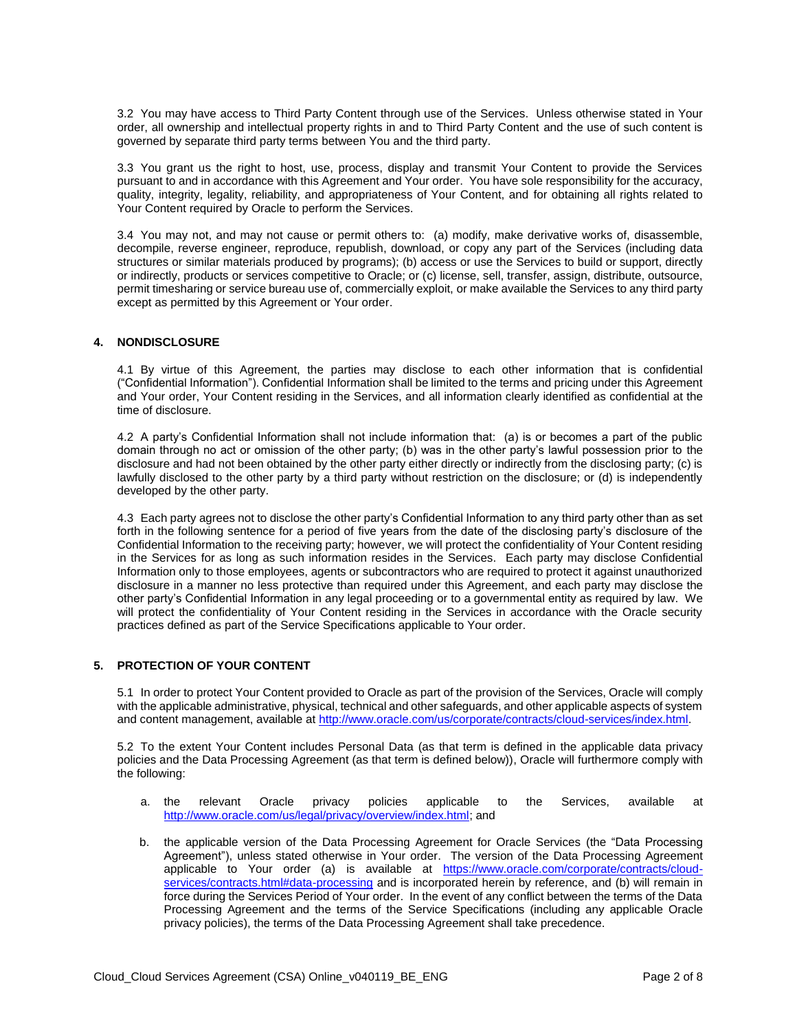3.2 You may have access to Third Party Content through use of the Services. Unless otherwise stated in Your order, all ownership and intellectual property rights in and to Third Party Content and the use of such content is governed by separate third party terms between You and the third party.

3.3 You grant us the right to host, use, process, display and transmit Your Content to provide the Services pursuant to and in accordance with this Agreement and Your order. You have sole responsibility for the accuracy, quality, integrity, legality, reliability, and appropriateness of Your Content, and for obtaining all rights related to Your Content required by Oracle to perform the Services.

3.4 You may not, and may not cause or permit others to: (a) modify, make derivative works of, disassemble, decompile, reverse engineer, reproduce, republish, download, or copy any part of the Services (including data structures or similar materials produced by programs); (b) access or use the Services to build or support, directly or indirectly, products or services competitive to Oracle; or (c) license, sell, transfer, assign, distribute, outsource, permit timesharing or service bureau use of, commercially exploit, or make available the Services to any third party except as permitted by this Agreement or Your order.

#### **4. NONDISCLOSURE**

4.1 By virtue of this Agreement, the parties may disclose to each other information that is confidential ("Confidential Information"). Confidential Information shall be limited to the terms and pricing under this Agreement and Your order, Your Content residing in the Services, and all information clearly identified as confidential at the time of disclosure.

4.2 A party's Confidential Information shall not include information that: (a) is or becomes a part of the public domain through no act or omission of the other party; (b) was in the other party's lawful possession prior to the disclosure and had not been obtained by the other party either directly or indirectly from the disclosing party; (c) is lawfully disclosed to the other party by a third party without restriction on the disclosure; or (d) is independently developed by the other party.

4.3 Each party agrees not to disclose the other party's Confidential Information to any third party other than as set forth in the following sentence for a period of five years from the date of the disclosing party's disclosure of the Confidential Information to the receiving party; however, we will protect the confidentiality of Your Content residing in the Services for as long as such information resides in the Services. Each party may disclose Confidential Information only to those employees, agents or subcontractors who are required to protect it against unauthorized disclosure in a manner no less protective than required under this Agreement, and each party may disclose the other party's Confidential Information in any legal proceeding or to a governmental entity as required by law. We will protect the confidentiality of Your Content residing in the Services in accordance with the Oracle security practices defined as part of the Service Specifications applicable to Your order.

# **5. PROTECTION OF YOUR CONTENT**

5.1 In order to protect Your Content provided to Oracle as part of the provision of the Services, Oracle will comply with the applicable administrative, physical, technical and other safeguards, and other applicable aspects of system and content management, available at [http://www.oracle.com/us/corporate/contracts/cloud-services/index.html.](http://www.oracle.com/us/corporate/contracts/cloud-services/index.html)

5.2 To the extent Your Content includes Personal Data (as that term is defined in the applicable data privacy policies and the Data Processing Agreement (as that term is defined below)), Oracle will furthermore comply with the following:

- a. the relevant Oracle privacy policies applicable to the Services, available at [http://www.oracle.com/us/legal/privacy/overview/index.html;](http://www.oracle.com/us/legal/privacy/overview/index.html) and
- b. the applicable version of the Data Processing Agreement for Oracle Services (the "Data Processing Agreement"), unless stated otherwise in Your order. The version of the Data Processing Agreement applicable to Your order (a) is available at [https://www.oracle.com/corporate/contracts/cloud](https://www.oracle.com/corporate/contracts/cloud-services/contracts.html#data-processing)[services/contracts.html#data-processing](https://www.oracle.com/corporate/contracts/cloud-services/contracts.html#data-processing) and is incorporated herein by reference, and (b) will remain in force during the Services Period of Your order. In the event of any conflict between the terms of the Data Processing Agreement and the terms of the Service Specifications (including any applicable Oracle privacy policies), the terms of the Data Processing Agreement shall take precedence.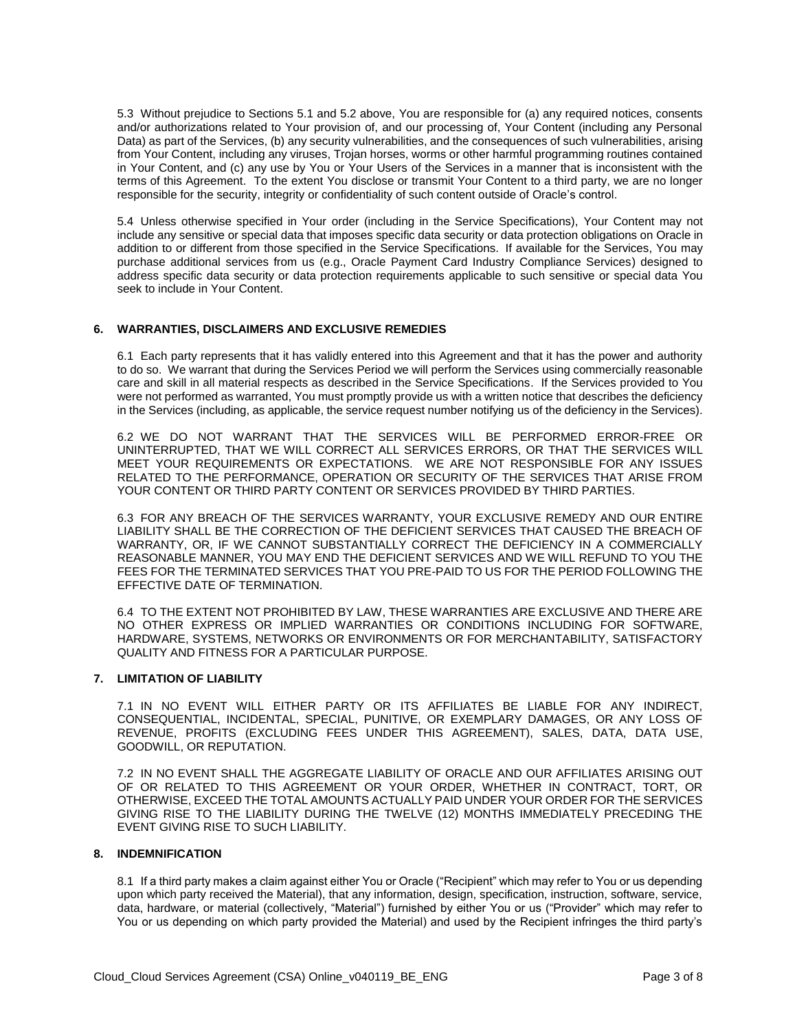5.3 Without prejudice to Sections 5.1 and 5.2 above, You are responsible for (a) any required notices, consents and/or authorizations related to Your provision of, and our processing of, Your Content (including any Personal Data) as part of the Services, (b) any security vulnerabilities, and the consequences of such vulnerabilities, arising from Your Content, including any viruses, Trojan horses, worms or other harmful programming routines contained in Your Content, and (c) any use by You or Your Users of the Services in a manner that is inconsistent with the terms of this Agreement. To the extent You disclose or transmit Your Content to a third party, we are no longer responsible for the security, integrity or confidentiality of such content outside of Oracle's control.

5.4 Unless otherwise specified in Your order (including in the Service Specifications), Your Content may not include any sensitive or special data that imposes specific data security or data protection obligations on Oracle in addition to or different from those specified in the Service Specifications. If available for the Services, You may purchase additional services from us (e.g., Oracle Payment Card Industry Compliance Services) designed to address specific data security or data protection requirements applicable to such sensitive or special data You seek to include in Your Content.

# **6. WARRANTIES, DISCLAIMERS AND EXCLUSIVE REMEDIES**

6.1 Each party represents that it has validly entered into this Agreement and that it has the power and authority to do so. We warrant that during the Services Period we will perform the Services using commercially reasonable care and skill in all material respects as described in the Service Specifications. If the Services provided to You were not performed as warranted, You must promptly provide us with a written notice that describes the deficiency in the Services (including, as applicable, the service request number notifying us of the deficiency in the Services).

6.2 WE DO NOT WARRANT THAT THE SERVICES WILL BE PERFORMED ERROR-FREE OR UNINTERRUPTED, THAT WE WILL CORRECT ALL SERVICES ERRORS, OR THAT THE SERVICES WILL MEET YOUR REQUIREMENTS OR EXPECTATIONS. WE ARE NOT RESPONSIBLE FOR ANY ISSUES RELATED TO THE PERFORMANCE, OPERATION OR SECURITY OF THE SERVICES THAT ARISE FROM YOUR CONTENT OR THIRD PARTY CONTENT OR SERVICES PROVIDED BY THIRD PARTIES.

6.3 FOR ANY BREACH OF THE SERVICES WARRANTY, YOUR EXCLUSIVE REMEDY AND OUR ENTIRE LIABILITY SHALL BE THE CORRECTION OF THE DEFICIENT SERVICES THAT CAUSED THE BREACH OF WARRANTY, OR, IF WE CANNOT SUBSTANTIALLY CORRECT THE DEFICIENCY IN A COMMERCIALLY REASONABLE MANNER, YOU MAY END THE DEFICIENT SERVICES AND WE WILL REFUND TO YOU THE FEES FOR THE TERMINATED SERVICES THAT YOU PRE-PAID TO US FOR THE PERIOD FOLLOWING THE EFFECTIVE DATE OF TERMINATION.

6.4 TO THE EXTENT NOT PROHIBITED BY LAW, THESE WARRANTIES ARE EXCLUSIVE AND THERE ARE NO OTHER EXPRESS OR IMPLIED WARRANTIES OR CONDITIONS INCLUDING FOR SOFTWARE, HARDWARE, SYSTEMS, NETWORKS OR ENVIRONMENTS OR FOR MERCHANTABILITY, SATISFACTORY QUALITY AND FITNESS FOR A PARTICULAR PURPOSE.

#### **7. LIMITATION OF LIABILITY**

7.1 IN NO EVENT WILL EITHER PARTY OR ITS AFFILIATES BE LIABLE FOR ANY INDIRECT, CONSEQUENTIAL, INCIDENTAL, SPECIAL, PUNITIVE, OR EXEMPLARY DAMAGES, OR ANY LOSS OF REVENUE, PROFITS (EXCLUDING FEES UNDER THIS AGREEMENT), SALES, DATA, DATA USE, GOODWILL, OR REPUTATION.

7.2 IN NO EVENT SHALL THE AGGREGATE LIABILITY OF ORACLE AND OUR AFFILIATES ARISING OUT OF OR RELATED TO THIS AGREEMENT OR YOUR ORDER, WHETHER IN CONTRACT, TORT, OR OTHERWISE, EXCEED THE TOTAL AMOUNTS ACTUALLY PAID UNDER YOUR ORDER FOR THE SERVICES GIVING RISE TO THE LIABILITY DURING THE TWELVE (12) MONTHS IMMEDIATELY PRECEDING THE EVENT GIVING RISE TO SUCH LIABILITY.

# **8. INDEMNIFICATION**

8.1 If a third party makes a claim against either You or Oracle ("Recipient" which may refer to You or us depending upon which party received the Material), that any information, design, specification, instruction, software, service, data, hardware, or material (collectively, "Material") furnished by either You or us ("Provider" which may refer to You or us depending on which party provided the Material) and used by the Recipient infringes the third party's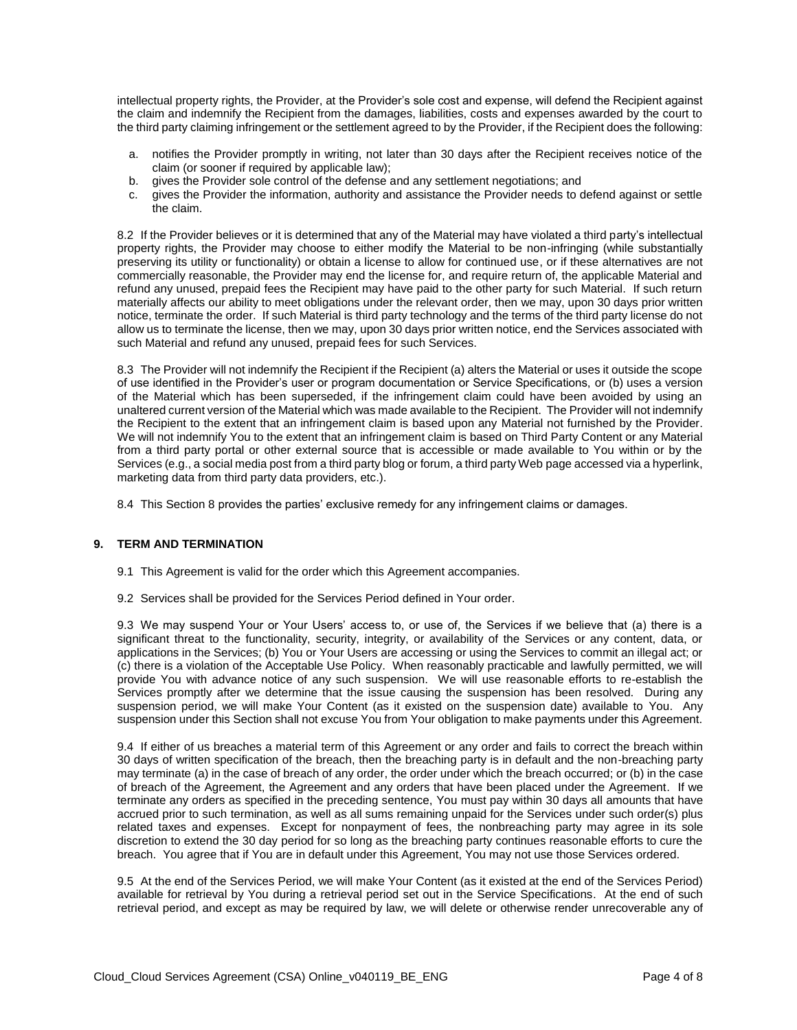intellectual property rights, the Provider, at the Provider's sole cost and expense, will defend the Recipient against the claim and indemnify the Recipient from the damages, liabilities, costs and expenses awarded by the court to the third party claiming infringement or the settlement agreed to by the Provider, if the Recipient does the following:

- a. notifies the Provider promptly in writing, not later than 30 days after the Recipient receives notice of the claim (or sooner if required by applicable law);
- b. gives the Provider sole control of the defense and any settlement negotiations; and
- c. gives the Provider the information, authority and assistance the Provider needs to defend against or settle the claim.

8.2 If the Provider believes or it is determined that any of the Material may have violated a third party's intellectual property rights, the Provider may choose to either modify the Material to be non-infringing (while substantially preserving its utility or functionality) or obtain a license to allow for continued use, or if these alternatives are not commercially reasonable, the Provider may end the license for, and require return of, the applicable Material and refund any unused, prepaid fees the Recipient may have paid to the other party for such Material. If such return materially affects our ability to meet obligations under the relevant order, then we may, upon 30 days prior written notice, terminate the order. If such Material is third party technology and the terms of the third party license do not allow us to terminate the license, then we may, upon 30 days prior written notice, end the Services associated with such Material and refund any unused, prepaid fees for such Services.

8.3 The Provider will not indemnify the Recipient if the Recipient (a) alters the Material or uses it outside the scope of use identified in the Provider's user or program documentation or Service Specifications, or (b) uses a version of the Material which has been superseded, if the infringement claim could have been avoided by using an unaltered current version of the Material which was made available to the Recipient. The Provider will not indemnify the Recipient to the extent that an infringement claim is based upon any Material not furnished by the Provider. We will not indemnify You to the extent that an infringement claim is based on Third Party Content or any Material from a third party portal or other external source that is accessible or made available to You within or by the Services (e.g., a social media post from a third party blog or forum, a third party Web page accessed via a hyperlink, marketing data from third party data providers, etc.).

8.4 This Section 8 provides the parties' exclusive remedy for any infringement claims or damages.

### **9. TERM AND TERMINATION**

- 9.1 This Agreement is valid for the order which this Agreement accompanies.
- 9.2 Services shall be provided for the Services Period defined in Your order.

9.3 We may suspend Your or Your Users' access to, or use of, the Services if we believe that (a) there is a significant threat to the functionality, security, integrity, or availability of the Services or any content, data, or applications in the Services; (b) You or Your Users are accessing or using the Services to commit an illegal act; or (c) there is a violation of the Acceptable Use Policy. When reasonably practicable and lawfully permitted, we will provide You with advance notice of any such suspension. We will use reasonable efforts to re-establish the Services promptly after we determine that the issue causing the suspension has been resolved. During any suspension period, we will make Your Content (as it existed on the suspension date) available to You. Any suspension under this Section shall not excuse You from Your obligation to make payments under this Agreement.

9.4 If either of us breaches a material term of this Agreement or any order and fails to correct the breach within 30 days of written specification of the breach, then the breaching party is in default and the non-breaching party may terminate (a) in the case of breach of any order, the order under which the breach occurred; or (b) in the case of breach of the Agreement, the Agreement and any orders that have been placed under the Agreement. If we terminate any orders as specified in the preceding sentence, You must pay within 30 days all amounts that have accrued prior to such termination, as well as all sums remaining unpaid for the Services under such order(s) plus related taxes and expenses. Except for nonpayment of fees, the nonbreaching party may agree in its sole discretion to extend the 30 day period for so long as the breaching party continues reasonable efforts to cure the breach. You agree that if You are in default under this Agreement, You may not use those Services ordered.

9.5 At the end of the Services Period, we will make Your Content (as it existed at the end of the Services Period) available for retrieval by You during a retrieval period set out in the Service Specifications. At the end of such retrieval period, and except as may be required by law, we will delete or otherwise render unrecoverable any of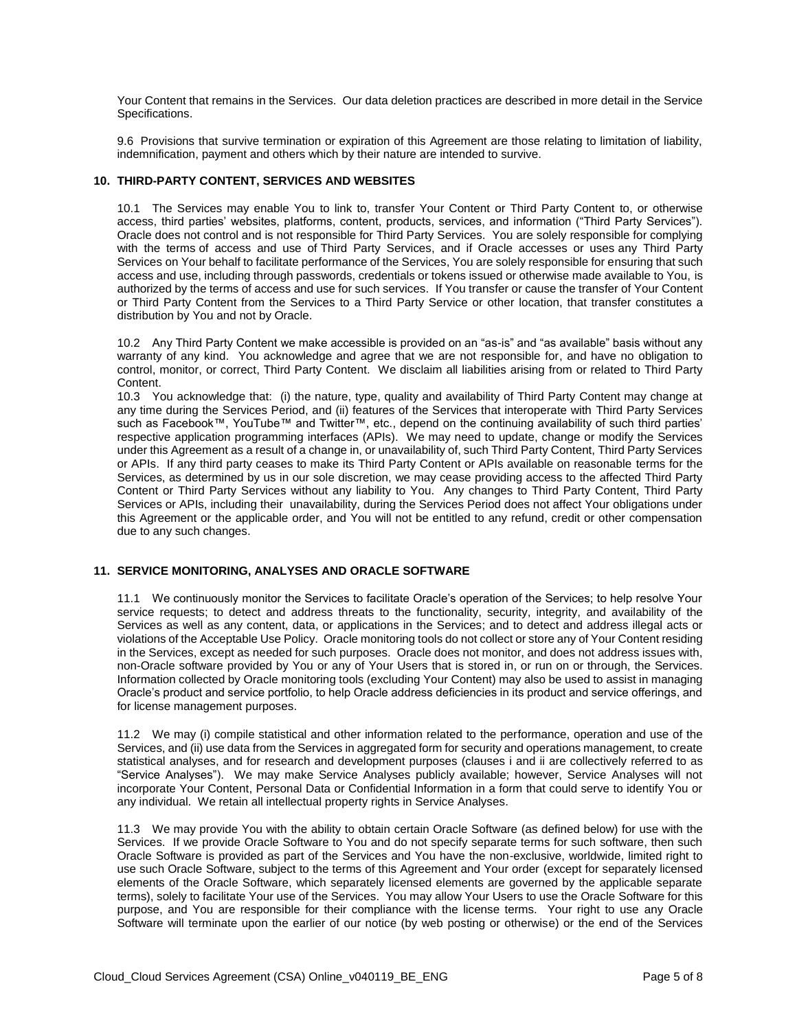Your Content that remains in the Services. Our data deletion practices are described in more detail in the Service Specifications.

9.6 Provisions that survive termination or expiration of this Agreement are those relating to limitation of liability, indemnification, payment and others which by their nature are intended to survive.

#### **10. THIRD-PARTY CONTENT, SERVICES AND WEBSITES**

10.1 The Services may enable You to link to, transfer Your Content or Third Party Content to, or otherwise access, third parties' websites, platforms, content, products, services, and information ("Third Party Services"). Oracle does not control and is not responsible for Third Party Services. You are solely responsible for complying with the terms of access and use of Third Party Services, and if Oracle accesses or uses any Third Party Services on Your behalf to facilitate performance of the Services, You are solely responsible for ensuring that such access and use, including through passwords, credentials or tokens issued or otherwise made available to You, is authorized by the terms of access and use for such services. If You transfer or cause the transfer of Your Content or Third Party Content from the Services to a Third Party Service or other location, that transfer constitutes a distribution by You and not by Oracle.

10.2 Any Third Party Content we make accessible is provided on an "as-is" and "as available" basis without any warranty of any kind. You acknowledge and agree that we are not responsible for, and have no obligation to control, monitor, or correct, Third Party Content. We disclaim all liabilities arising from or related to Third Party Content.

10.3 You acknowledge that: (i) the nature, type, quality and availability of Third Party Content may change at any time during the Services Period, and (ii) features of the Services that interoperate with Third Party Services such as Facebook™, YouTube™ and Twitter™, etc., depend on the continuing availability of such third parties' respective application programming interfaces (APIs). We may need to update, change or modify the Services under this Agreement as a result of a change in, or unavailability of, such Third Party Content, Third Party Services or APIs. If any third party ceases to make its Third Party Content or APIs available on reasonable terms for the Services, as determined by us in our sole discretion, we may cease providing access to the affected Third Party Content or Third Party Services without any liability to You. Any changes to Third Party Content, Third Party Services or APIs, including their unavailability, during the Services Period does not affect Your obligations under this Agreement or the applicable order, and You will not be entitled to any refund, credit or other compensation due to any such changes.

#### **11. SERVICE MONITORING, ANALYSES AND ORACLE SOFTWARE**

11.1 We continuously monitor the Services to facilitate Oracle's operation of the Services; to help resolve Your service requests; to detect and address threats to the functionality, security, integrity, and availability of the Services as well as any content, data, or applications in the Services; and to detect and address illegal acts or violations of the Acceptable Use Policy. Oracle monitoring tools do not collect or store any of Your Content residing in the Services, except as needed for such purposes. Oracle does not monitor, and does not address issues with, non-Oracle software provided by You or any of Your Users that is stored in, or run on or through, the Services. Information collected by Oracle monitoring tools (excluding Your Content) may also be used to assist in managing Oracle's product and service portfolio, to help Oracle address deficiencies in its product and service offerings, and for license management purposes.

11.2 We may (i) compile statistical and other information related to the performance, operation and use of the Services, and (ii) use data from the Services in aggregated form for security and operations management, to create statistical analyses, and for research and development purposes (clauses i and ii are collectively referred to as "Service Analyses"). We may make Service Analyses publicly available; however, Service Analyses will not incorporate Your Content, Personal Data or Confidential Information in a form that could serve to identify You or any individual. We retain all intellectual property rights in Service Analyses.

11.3 We may provide You with the ability to obtain certain Oracle Software (as defined below) for use with the Services. If we provide Oracle Software to You and do not specify separate terms for such software, then such Oracle Software is provided as part of the Services and You have the non-exclusive, worldwide, limited right to use such Oracle Software, subject to the terms of this Agreement and Your order (except for separately licensed elements of the Oracle Software, which separately licensed elements are governed by the applicable separate terms), solely to facilitate Your use of the Services. You may allow Your Users to use the Oracle Software for this purpose, and You are responsible for their compliance with the license terms. Your right to use any Oracle Software will terminate upon the earlier of our notice (by web posting or otherwise) or the end of the Services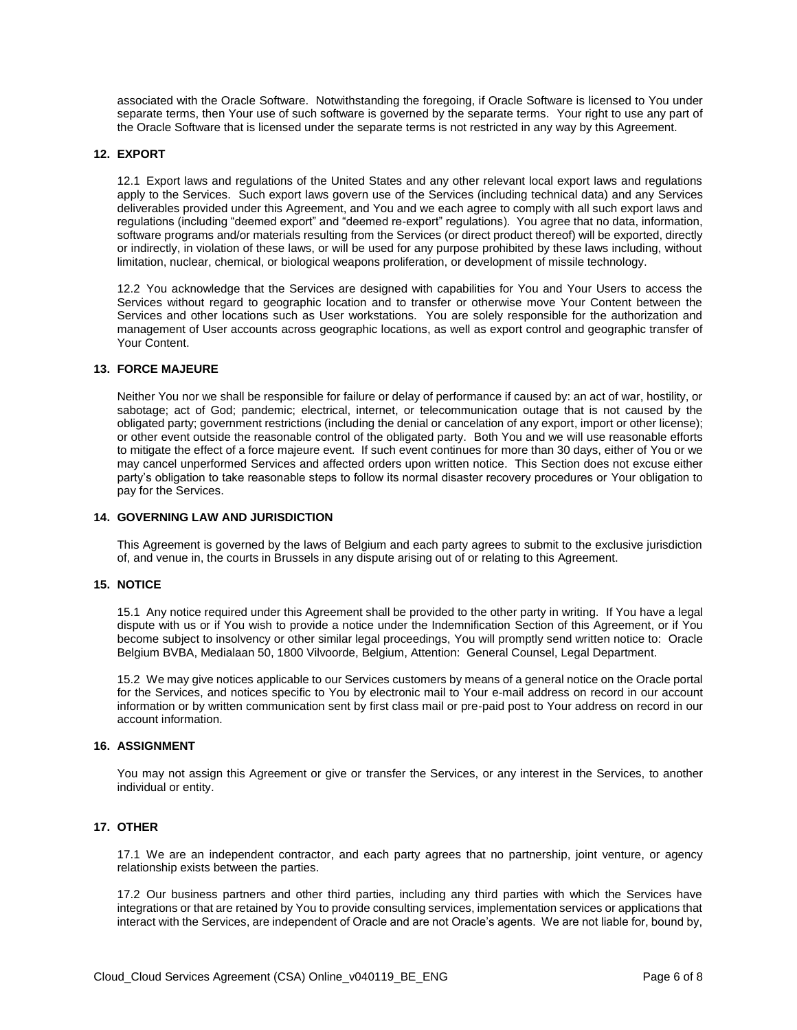associated with the Oracle Software. Notwithstanding the foregoing, if Oracle Software is licensed to You under separate terms, then Your use of such software is governed by the separate terms. Your right to use any part of the Oracle Software that is licensed under the separate terms is not restricted in any way by this Agreement.

#### **12. EXPORT**

12.1 Export laws and regulations of the United States and any other relevant local export laws and regulations apply to the Services. Such export laws govern use of the Services (including technical data) and any Services deliverables provided under this Agreement, and You and we each agree to comply with all such export laws and regulations (including "deemed export" and "deemed re-export" regulations). You agree that no data, information, software programs and/or materials resulting from the Services (or direct product thereof) will be exported, directly or indirectly, in violation of these laws, or will be used for any purpose prohibited by these laws including, without limitation, nuclear, chemical, or biological weapons proliferation, or development of missile technology.

12.2 You acknowledge that the Services are designed with capabilities for You and Your Users to access the Services without regard to geographic location and to transfer or otherwise move Your Content between the Services and other locations such as User workstations. You are solely responsible for the authorization and management of User accounts across geographic locations, as well as export control and geographic transfer of Your Content.

#### **13. FORCE MAJEURE**

Neither You nor we shall be responsible for failure or delay of performance if caused by: an act of war, hostility, or sabotage; act of God; pandemic; electrical, internet, or telecommunication outage that is not caused by the obligated party; government restrictions (including the denial or cancelation of any export, import or other license); or other event outside the reasonable control of the obligated party. Both You and we will use reasonable efforts to mitigate the effect of a force majeure event. If such event continues for more than 30 days, either of You or we may cancel unperformed Services and affected orders upon written notice. This Section does not excuse either party's obligation to take reasonable steps to follow its normal disaster recovery procedures or Your obligation to pay for the Services.

#### **14. GOVERNING LAW AND JURISDICTION**

This Agreement is governed by the laws of Belgium and each party agrees to submit to the exclusive jurisdiction of, and venue in, the courts in Brussels in any dispute arising out of or relating to this Agreement.

#### **15. NOTICE**

15.1 Any notice required under this Agreement shall be provided to the other party in writing. If You have a legal dispute with us or if You wish to provide a notice under the Indemnification Section of this Agreement, or if You become subject to insolvency or other similar legal proceedings, You will promptly send written notice to: Oracle Belgium BVBA, Medialaan 50, 1800 Vilvoorde, Belgium, Attention: General Counsel, Legal Department.

15.2 We may give notices applicable to our Services customers by means of a general notice on the Oracle portal for the Services, and notices specific to You by electronic mail to Your e-mail address on record in our account information or by written communication sent by first class mail or pre-paid post to Your address on record in our account information.

# **16. ASSIGNMENT**

You may not assign this Agreement or give or transfer the Services, or any interest in the Services, to another individual or entity.

# **17. OTHER**

17.1 We are an independent contractor, and each party agrees that no partnership, joint venture, or agency relationship exists between the parties.

17.2 Our business partners and other third parties, including any third parties with which the Services have integrations or that are retained by You to provide consulting services, implementation services or applications that interact with the Services, are independent of Oracle and are not Oracle's agents. We are not liable for, bound by,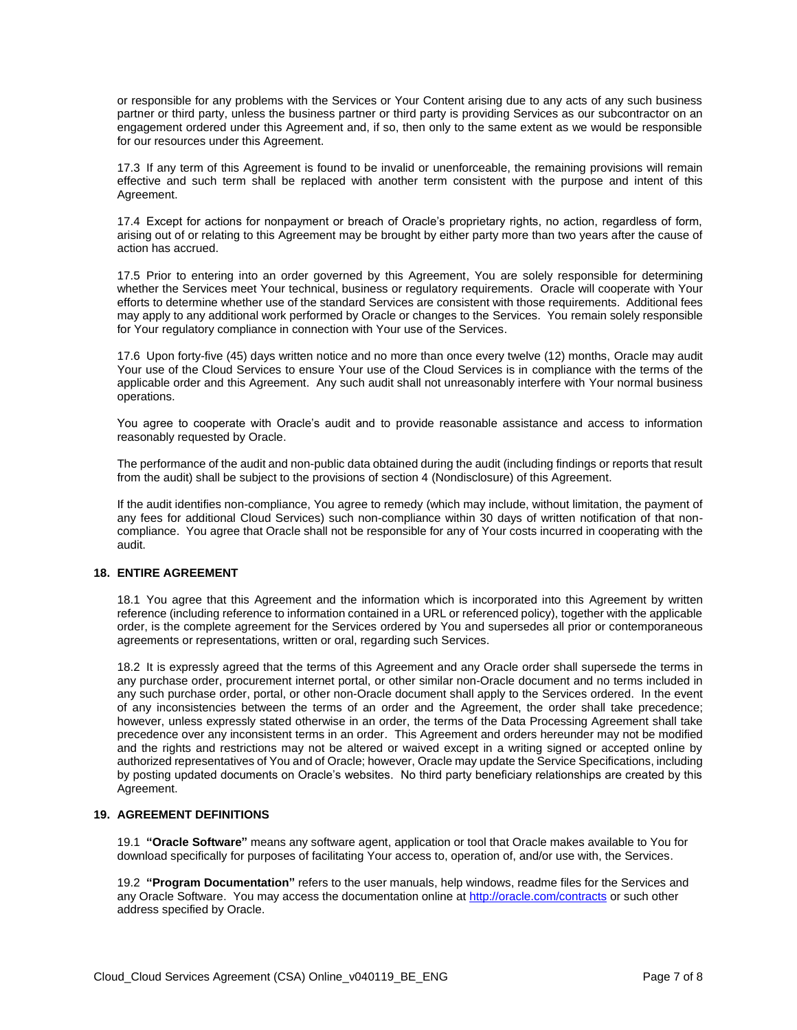or responsible for any problems with the Services or Your Content arising due to any acts of any such business partner or third party, unless the business partner or third party is providing Services as our subcontractor on an engagement ordered under this Agreement and, if so, then only to the same extent as we would be responsible for our resources under this Agreement.

17.3 If any term of this Agreement is found to be invalid or unenforceable, the remaining provisions will remain effective and such term shall be replaced with another term consistent with the purpose and intent of this Agreement.

17.4 Except for actions for nonpayment or breach of Oracle's proprietary rights, no action, regardless of form, arising out of or relating to this Agreement may be brought by either party more than two years after the cause of action has accrued.

17.5 Prior to entering into an order governed by this Agreement, You are solely responsible for determining whether the Services meet Your technical, business or regulatory requirements. Oracle will cooperate with Your efforts to determine whether use of the standard Services are consistent with those requirements. Additional fees may apply to any additional work performed by Oracle or changes to the Services. You remain solely responsible for Your regulatory compliance in connection with Your use of the Services.

17.6 Upon forty-five (45) days written notice and no more than once every twelve (12) months, Oracle may audit Your use of the Cloud Services to ensure Your use of the Cloud Services is in compliance with the terms of the applicable order and this Agreement. Any such audit shall not unreasonably interfere with Your normal business operations.

You agree to cooperate with Oracle's audit and to provide reasonable assistance and access to information reasonably requested by Oracle.

The performance of the audit and non-public data obtained during the audit (including findings or reports that result from the audit) shall be subject to the provisions of section 4 (Nondisclosure) of this Agreement.

If the audit identifies non-compliance, You agree to remedy (which may include, without limitation, the payment of any fees for additional Cloud Services) such non-compliance within 30 days of written notification of that noncompliance. You agree that Oracle shall not be responsible for any of Your costs incurred in cooperating with the audit.

# **18. ENTIRE AGREEMENT**

18.1 You agree that this Agreement and the information which is incorporated into this Agreement by written reference (including reference to information contained in a URL or referenced policy), together with the applicable order, is the complete agreement for the Services ordered by You and supersedes all prior or contemporaneous agreements or representations, written or oral, regarding such Services.

18.2 It is expressly agreed that the terms of this Agreement and any Oracle order shall supersede the terms in any purchase order, procurement internet portal, or other similar non-Oracle document and no terms included in any such purchase order, portal, or other non-Oracle document shall apply to the Services ordered. In the event of any inconsistencies between the terms of an order and the Agreement, the order shall take precedence; however, unless expressly stated otherwise in an order, the terms of the Data Processing Agreement shall take precedence over any inconsistent terms in an order. This Agreement and orders hereunder may not be modified and the rights and restrictions may not be altered or waived except in a writing signed or accepted online by authorized representatives of You and of Oracle; however, Oracle may update the Service Specifications, including by posting updated documents on Oracle's websites. No third party beneficiary relationships are created by this Agreement.

# **19. AGREEMENT DEFINITIONS**

19.1 **"Oracle Software"** means any software agent, application or tool that Oracle makes available to You for download specifically for purposes of facilitating Your access to, operation of, and/or use with, the Services.

19.2 **"Program Documentation"** refers to the user manuals, help windows, readme files for the Services and any Oracle Software. You may access the documentation online a[t http://oracle.com/contracts](http://oracle.com/contracts) or such other address specified by Oracle.